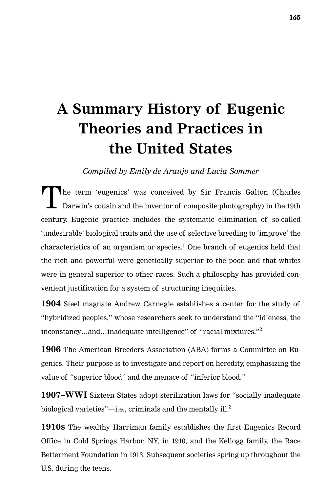## **A Summary History of Eugenic Theories and Practices in the United States**

*Compiled by Emily de Araujo and Lucia Sommer*

The term 'eugenics' was conceived by Sir Francis Galton (Charles Darwin's cousin and the inventor of composite photography) in the 19th century. Eugenic practice includes the systematic elimination of so-called 'undesirable' biological traits and the use of selective breeding to 'improve' the characteristics of an organism or species.<sup>1</sup> One branch of eugenics held that the rich and powerful were genetically superior to the poor, and that whites were in general superior to other races. Such a philosophy has provided convenient justification for a system of structuring inequities.

**1904** Steel magnate Andrew Carnegie establishes a center for the study of "hybridized peoples," whose researchers seek to understand the "idleness, the inconstancy…and…inadequate intelligence" of "racial mixtures."2

**1906** The American Breeders Association (ABA) forms a Committee on Eugenics. Their purpose is to investigate and report on heredity, emphasizing the value of "superior blood" and the menace of "inferior blood."

**1907–WWI** Sixteen States adopt sterilization laws for "socially inadequate biological varieties"—i.e., criminals and the mentally ill. $3$ 

**1910s** The wealthy Harriman family establishes the first Eugenics Record Office in Cold Springs Harbor, NY, in 1910, and the Kellogg family, the Race Betterment Foundation in 1913. Subsequent societies spring up throughout the U.S. during the teens.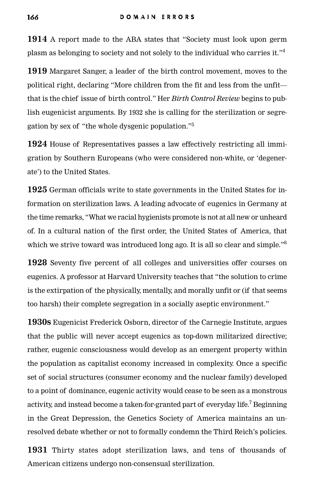**1914** A report made to the ABA states that "Society must look upon germ plasm as belonging to society and not solely to the individual who carries it." $4$ 

**1919** Margaret Sanger, a leader of the birth control movement, moves to the political right, declaring "More children from the fit and less from the unfit that is the chief issue of birth control." Her *Birth Control Review* begins to publish eugenicist arguments. By 1932 she is calling for the sterilization or segregation by sex of "the whole dysgenic population."5

**1924** House of Representatives passes a law effectively restricting all immigration by Southern Europeans (who were considered non-white, or 'degenerate') to the United States.

**1925** German officials write to state governments in the United States for in formation on sterilization laws. A leading advocate of eugenics in Germany at the time remarks, "What we racial hygienists promote is not at all new or un heard of. In a cultural nation of the first order, the United States of America, that which we strive toward was introduced long ago. It is all so clear and simple."<sup>6</sup>

**1928** Seventy five percent of all colleges and universities offer courses on eugenics. A professor at Harvard University teaches that "the solution to crime is the extirpation of the physically, mentally, and morally unfit or (if that seems too harsh) their complete segregation in a socially aseptic environment."

**1930s** Eugenicist Frederick Osborn, director of the Carnegie Institute, argues that the public will never accept eugenics as top-down militarized directive; rather, eugenic consciousness would develop as an emergent property within the population as capitalist economy increased in complexity. Once a specific set of social structures (consumer economy and the nuclear family) developed to a point of dominance, eugenic activity would cease to be seen as a monstrous activity, and instead become a taken-for-granted part of everyday life.<sup>7</sup> Beginning in the Great Depression, the Genetics Society of America maintains an unresolved debate whether or not to formally condemn the Third Reich's policies.

**1931** Thirty states adopt sterilization laws, and tens of thousands of American citizens undergo non-consensual sterilization.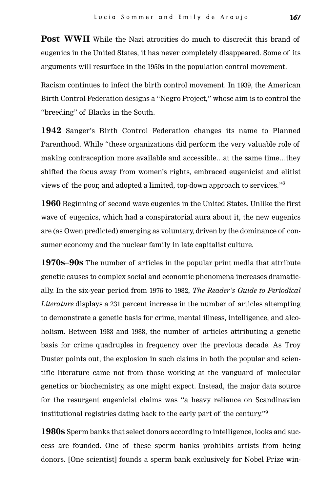**Post WWII** While the Nazi atrocities do much to discredit this brand of eugenics in the United States, it has never completely disappeared. Some of its arguments will resurface in the 1950s in the population control movement.

Racism continues to infect the birth control movement. In 1939, the American Birth Control Federation designs a "Negro Project," whose aim is to control the "breeding" of Blacks in the South.

**1942** Sanger's Birth Control Federation changes its name to Planned Parenthood. While "these organizations did perform the very valuable role of making contraception more available and accessible…at the same time…they shifted the focus away from women's rights, embraced eugenicist and elitist views of the poor, and adopted a limited, top-down approach to services."8

**1960** Beginning of second wave eugenics in the United States. Unlike the first wave of eugenics, which had a conspiratorial aura about it, the new eugenics are (as Owen predicted) emerging as voluntary, driven by the dominance of consumer economy and the nuclear family in late capitalist culture.

**1970s–90s** The number of articles in the popular print media that attribute genetic causes to complex social and economic phenomena increases dramatically. In the six-year period from 1976 to 1982, *The Reader's Guide to Periodical Literature* displays a 231 percent increase in the number of articles attempting to demonstrate a genetic basis for crime, mental illness, in telligence, and alcoholism. Between 1983 and 1988, the number of articles attributing a genetic basis for crime quadruples in frequency over the previous decade. As Troy Duster points out, the explosion in such claims in both the popular and scientific literature came not from those working at the vanguard of molecular genetics or biochemistry, as one might expect. Instead, the major data source for the resurgent eugenicist claims was "a heavy reliance on Scandinavian institutional registries dating back to the early part of the century."<sup>9</sup>

**1980s** Sperm banks that select donors according to intelligence, looks and success are founded. One of these sperm banks prohibits artists from being donors. [One scientist] founds a sperm bank exclusively for Nobel Prize win